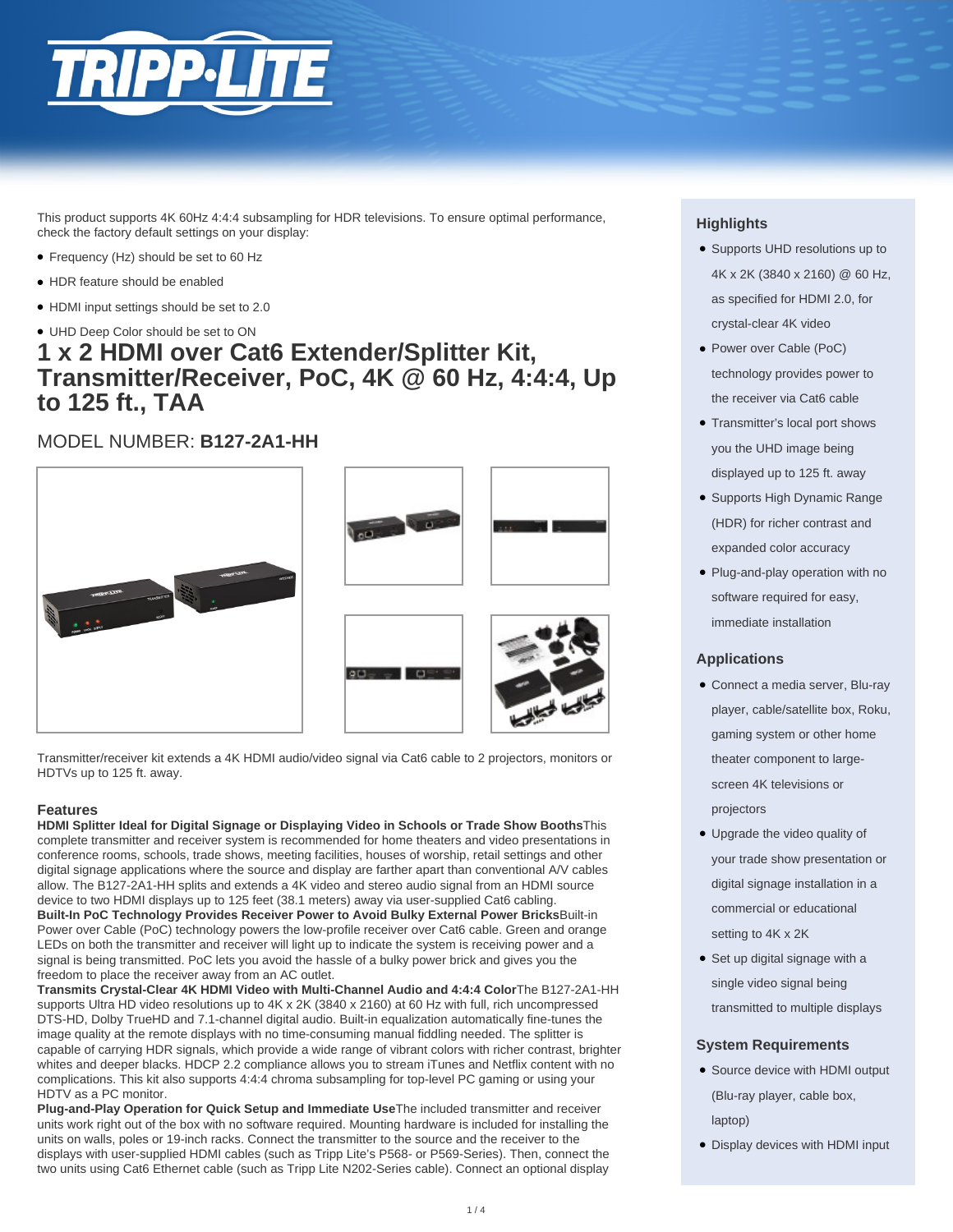

This product supports 4K 60Hz 4:4:4 subsampling for HDR televisions. To ensure optimal performance, check the factory default settings on your display:

- Frequency (Hz) should be set to 60 Hz
- HDR feature should be enabled
- HDMI input settings should be set to 2.0
- UHD Deep Color should be set to ON

## **1 x 2 HDMI over Cat6 Extender/Splitter Kit, Transmitter/Receiver, PoC, 4K @ 60 Hz, 4:4:4, Up to 125 ft., TAA**

### MODEL NUMBER: **B127-2A1-HH**



Transmitter/receiver kit extends a 4K HDMI audio/video signal via Cat6 cable to 2 projectors, monitors or HDTVs up to 125 ft. away.

#### **Features**

**HDMI Splitter Ideal for Digital Signage or Displaying Video in Schools or Trade Show Booths**This complete transmitter and receiver system is recommended for home theaters and video presentations in conference rooms, schools, trade shows, meeting facilities, houses of worship, retail settings and other digital signage applications where the source and display are farther apart than conventional A/V cables allow. The B127-2A1-HH splits and extends a 4K video and stereo audio signal from an HDMI source device to two HDMI displays up to 125 feet (38.1 meters) away via user-supplied Cat6 cabling. **Built-In PoC Technology Provides Receiver Power to Avoid Bulky External Power Bricks**Built-in Power over Cable (PoC) technology powers the low-profile receiver over Cat6 cable. Green and orange LEDs on both the transmitter and receiver will light up to indicate the system is receiving power and a signal is being transmitted. PoC lets you avoid the hassle of a bulky power brick and gives you the freedom to place the receiver away from an AC outlet.

**Transmits Crystal-Clear 4K HDMI Video with Multi-Channel Audio and 4:4:4 Color**The B127-2A1-HH supports Ultra HD video resolutions up to 4K x 2K (3840 x 2160) at 60 Hz with full, rich uncompressed DTS-HD, Dolby TrueHD and 7.1-channel digital audio. Built-in equalization automatically fine-tunes the image quality at the remote displays with no time-consuming manual fiddling needed. The splitter is capable of carrying HDR signals, which provide a wide range of vibrant colors with richer contrast, brighter whites and deeper blacks. HDCP 2.2 compliance allows you to stream iTunes and Netflix content with no complications. This kit also supports 4:4:4 chroma subsampling for top-level PC gaming or using your HDTV as a PC monitor.

**Plug-and-Play Operation for Quick Setup and Immediate Use**The included transmitter and receiver units work right out of the box with no software required. Mounting hardware is included for installing the units on walls, poles or 19-inch racks. Connect the transmitter to the source and the receiver to the displays with user-supplied HDMI cables (such as Tripp Lite's P568- or P569-Series). Then, connect the two units using Cat6 Ethernet cable (such as Tripp Lite N202-Series cable). Connect an optional display

#### **Highlights**

- Supports UHD resolutions up to 4K x 2K (3840 x 2160) @ 60 Hz, as specified for HDMI 2.0, for crystal-clear 4K video
- Power over Cable (PoC) technology provides power to the receiver via Cat6 cable
- Transmitter's local port shows you the UHD image being displayed up to 125 ft. away
- Supports High Dynamic Range (HDR) for richer contrast and expanded color accuracy
- Plug-and-play operation with no software required for easy, immediate installation

#### **Applications**

- Connect a media server, Blu-ray player, cable/satellite box, Roku, gaming system or other home theater component to largescreen 4K televisions or projectors
- Upgrade the video quality of your trade show presentation or digital signage installation in a commercial or educational setting to 4K x 2K
- Set up digital signage with a single video signal being transmitted to multiple displays

#### **System Requirements**

- Source device with HDMI output (Blu-ray player, cable box, laptop)
- Display devices with HDMI input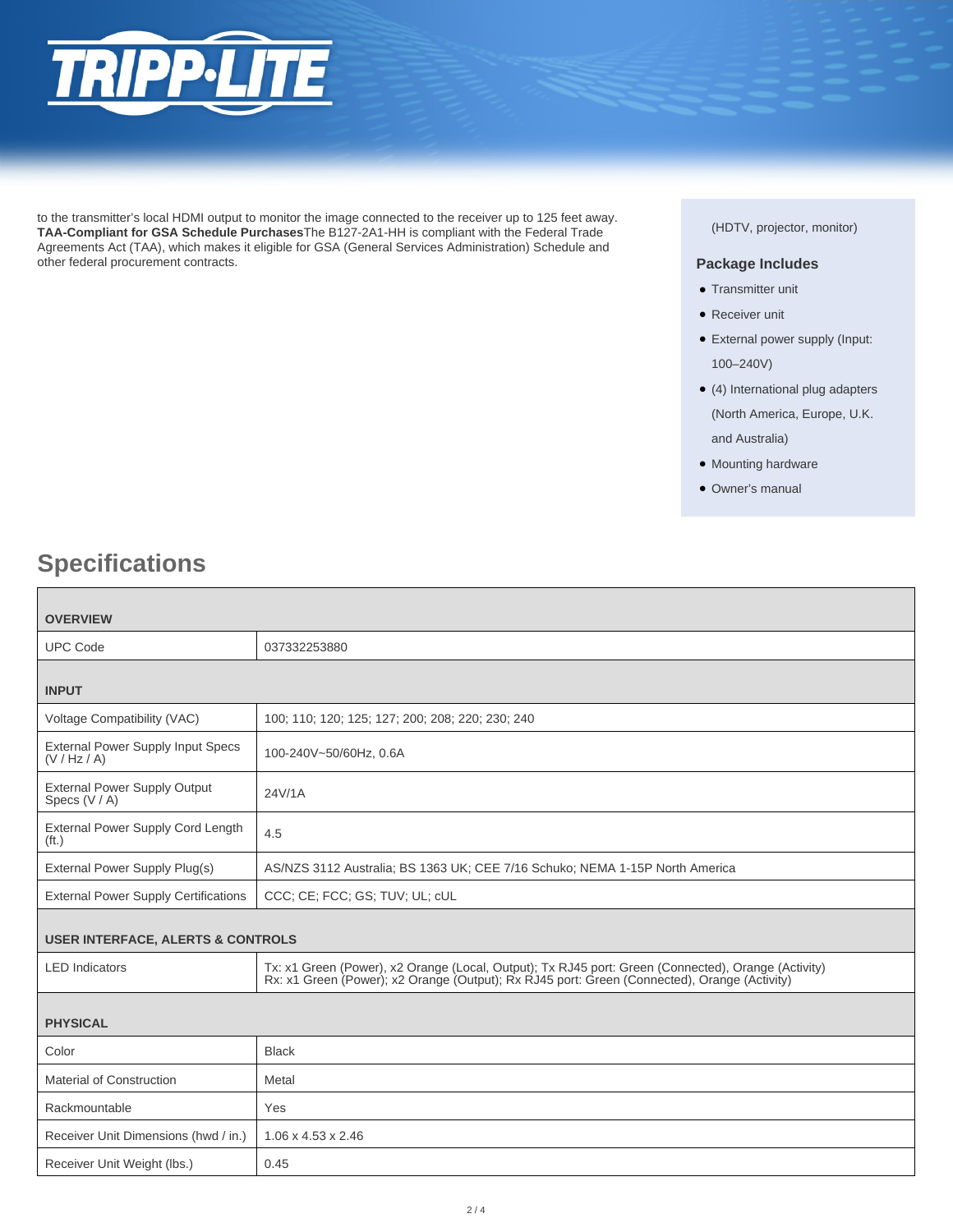

to the transmitter's local HDMI output to monitor the image connected to the receiver up to 125 feet away. **TAA-Compliant for GSA Schedule Purchases**The B127-2A1-HH is compliant with the Federal Trade Agreements Act (TAA), which makes it eligible for GSA (General Services Administration) Schedule and other federal procurement contracts.

#### (HDTV, projector, monitor)

#### **Package Includes**

- Transmitter unit
- Receiver unit
- External power supply (Input: 100–240V)
- (4) International plug adapters (North America, Europe, U.K. and Australia)
- Mounting hardware
- Owner's manual

# **Specifications**

| <b>OVERVIEW</b>                                               |                                                                                                                                                                                                     |  |
|---------------------------------------------------------------|-----------------------------------------------------------------------------------------------------------------------------------------------------------------------------------------------------|--|
| <b>UPC Code</b>                                               | 037332253880                                                                                                                                                                                        |  |
|                                                               |                                                                                                                                                                                                     |  |
| <b>INPUT</b>                                                  |                                                                                                                                                                                                     |  |
| Voltage Compatibility (VAC)                                   | 100; 110; 120; 125; 127; 200; 208; 220; 230; 240                                                                                                                                                    |  |
| <b>External Power Supply Input Specs</b><br>(V / Hz / A)      | 100-240V~50/60Hz, 0.6A                                                                                                                                                                              |  |
| <b>External Power Supply Output</b><br>Specs (V / A)          | 24V/1A                                                                                                                                                                                              |  |
| <b>External Power Supply Cord Length</b><br>(f <sub>t</sub> ) | 4.5                                                                                                                                                                                                 |  |
| External Power Supply Plug(s)                                 | AS/NZS 3112 Australia; BS 1363 UK; CEE 7/16 Schuko; NEMA 1-15P North America                                                                                                                        |  |
| <b>External Power Supply Certifications</b>                   | CCC; CE; FCC; GS; TUV; UL; cUL                                                                                                                                                                      |  |
| <b>USER INTERFACE, ALERTS &amp; CONTROLS</b>                  |                                                                                                                                                                                                     |  |
| <b>LED</b> Indicators                                         | Tx: x1 Green (Power), x2 Orange (Local, Output); Tx RJ45 port: Green (Connected), Orange (Activity)<br>Rx: x1 Green (Power); x2 Orange (Output); Rx RJ45 port: Green (Connected), Orange (Activity) |  |
|                                                               |                                                                                                                                                                                                     |  |
| <b>PHYSICAL</b>                                               |                                                                                                                                                                                                     |  |
| Color                                                         | <b>Black</b>                                                                                                                                                                                        |  |
| <b>Material of Construction</b>                               | Metal                                                                                                                                                                                               |  |
| Rackmountable                                                 | Yes                                                                                                                                                                                                 |  |
| Receiver Unit Dimensions (hwd / in.)                          | $1.06 \times 4.53 \times 2.46$                                                                                                                                                                      |  |
| Receiver Unit Weight (lbs.)                                   | 0.45                                                                                                                                                                                                |  |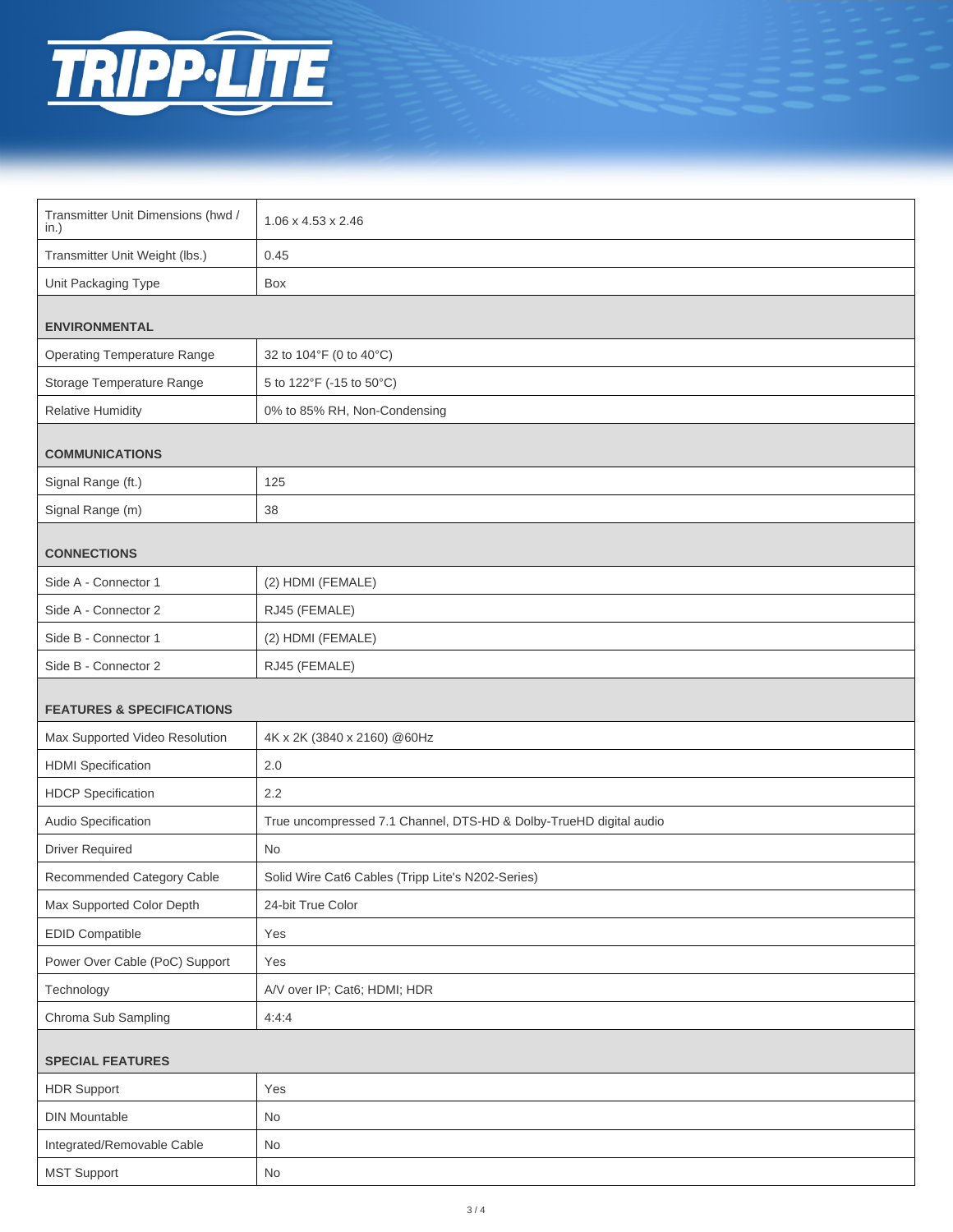

| Transmitter Unit Dimensions (hwd /<br>in.) | 1.06 x 4.53 x 2.46                                                 |  |
|--------------------------------------------|--------------------------------------------------------------------|--|
| Transmitter Unit Weight (lbs.)             | 0.45                                                               |  |
| Unit Packaging Type                        | Box                                                                |  |
| <b>ENVIRONMENTAL</b>                       |                                                                    |  |
|                                            |                                                                    |  |
| <b>Operating Temperature Range</b>         | 32 to 104°F (0 to 40°C)                                            |  |
| Storage Temperature Range                  | 5 to 122°F (-15 to 50°C)                                           |  |
| <b>Relative Humidity</b>                   | 0% to 85% RH, Non-Condensing                                       |  |
| <b>COMMUNICATIONS</b>                      |                                                                    |  |
| Signal Range (ft.)                         | 125                                                                |  |
| Signal Range (m)                           | 38                                                                 |  |
|                                            |                                                                    |  |
| <b>CONNECTIONS</b>                         |                                                                    |  |
| Side A - Connector 1                       | (2) HDMI (FEMALE)                                                  |  |
| Side A - Connector 2                       | RJ45 (FEMALE)                                                      |  |
| Side B - Connector 1                       | (2) HDMI (FEMALE)                                                  |  |
| Side B - Connector 2                       | RJ45 (FEMALE)                                                      |  |
| <b>FEATURES &amp; SPECIFICATIONS</b>       |                                                                    |  |
| Max Supported Video Resolution             | 4K x 2K (3840 x 2160) @60Hz                                        |  |
|                                            |                                                                    |  |
| <b>HDMI</b> Specification                  | 2.0                                                                |  |
| <b>HDCP</b> Specification                  | 2.2                                                                |  |
| Audio Specification                        | True uncompressed 7.1 Channel, DTS-HD & Dolby-TrueHD digital audio |  |
| <b>Driver Required</b>                     | No                                                                 |  |
| Recommended Category Cable                 | Solid Wire Cat6 Cables (Tripp Lite's N202-Series)                  |  |
| Max Supported Color Depth                  | 24-bit True Color                                                  |  |
| EDID Compatible                            | Yes                                                                |  |
| Power Over Cable (PoC) Support             | Yes                                                                |  |
| Technology                                 | A/V over IP; Cat6; HDMI; HDR                                       |  |
| Chroma Sub Sampling                        | 4:4:4                                                              |  |
| <b>SPECIAL FEATURES</b>                    |                                                                    |  |
| <b>HDR Support</b>                         | Yes                                                                |  |
| <b>DIN Mountable</b>                       | No                                                                 |  |
| Integrated/Removable Cable                 | No                                                                 |  |